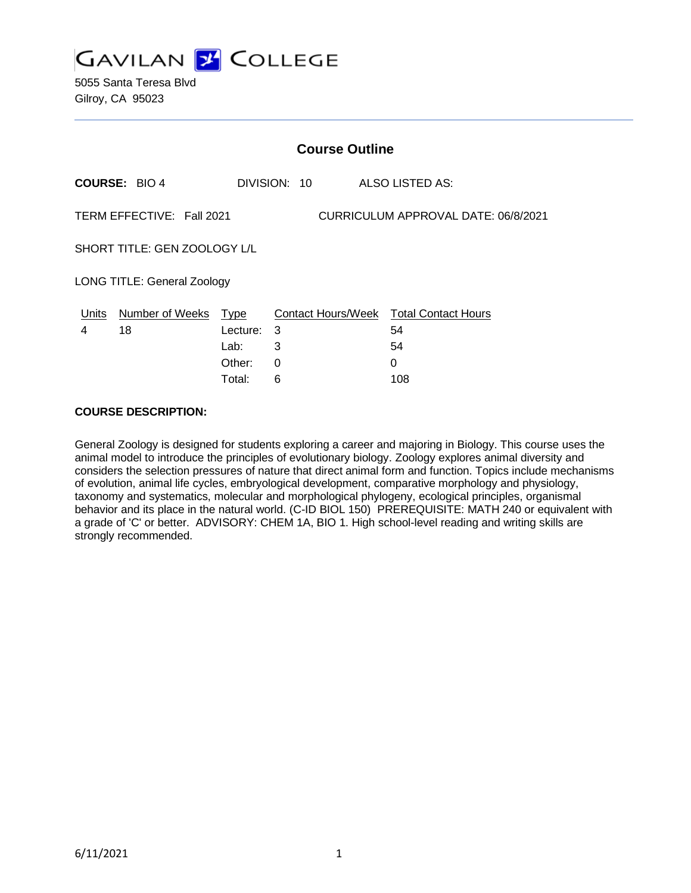

5055 Santa Teresa Blvd Gilroy, CA 95023

| <b>Course Outline</b>                                            |                        |             |              |                                        |  |
|------------------------------------------------------------------|------------------------|-------------|--------------|----------------------------------------|--|
|                                                                  | <b>COURSE: BIO 4</b>   |             | DIVISION: 10 | ALSO LISTED AS:                        |  |
| TERM EFFECTIVE: Fall 2021<br>CURRICULUM APPROVAL DATE: 06/8/2021 |                        |             |              |                                        |  |
| SHORT TITLE: GEN ZOOLOGY L/L                                     |                        |             |              |                                        |  |
| <b>LONG TITLE: General Zoology</b>                               |                        |             |              |                                        |  |
| Units                                                            | <b>Number of Weeks</b> | <u>Type</u> |              | Contact Hours/Week Total Contact Hours |  |
| 4                                                                | 18                     | Lecture: 3  |              | 54                                     |  |
|                                                                  |                        | Lab:        | 3            | 54                                     |  |
|                                                                  |                        | Other:      | 0            | 0                                      |  |
|                                                                  |                        | Total:      | 6            | 108                                    |  |

#### **COURSE DESCRIPTION:**

General Zoology is designed for students exploring a career and majoring in Biology. This course uses the animal model to introduce the principles of evolutionary biology. Zoology explores animal diversity and considers the selection pressures of nature that direct animal form and function. Topics include mechanisms of evolution, animal life cycles, embryological development, comparative morphology and physiology, taxonomy and systematics, molecular and morphological phylogeny, ecological principles, organismal behavior and its place in the natural world. (C-ID BIOL 150) PREREQUISITE: MATH 240 or equivalent with a grade of 'C' or better. ADVISORY: CHEM 1A, BIO 1. High school-level reading and writing skills are strongly recommended.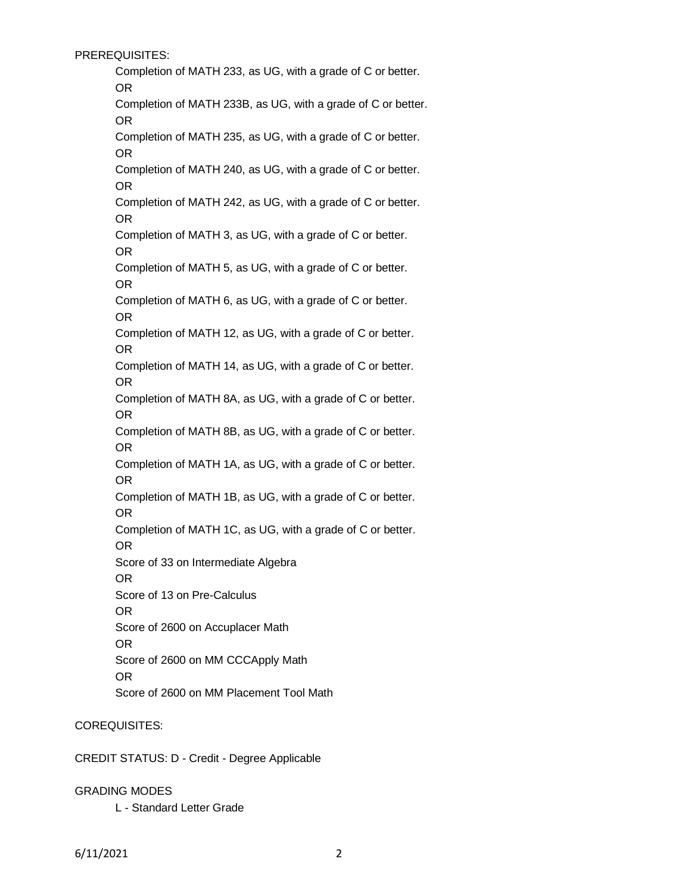PREREQUISITES:

Completion of MATH 233, as UG, with a grade of C or better. OR Completion of MATH 233B, as UG, with a grade of C or better.

OR

Completion of MATH 235, as UG, with a grade of C or better. OR

Completion of MATH 240, as UG, with a grade of C or better. OR

Completion of MATH 242, as UG, with a grade of C or better. OR

Completion of MATH 3, as UG, with a grade of C or better. OR

Completion of MATH 5, as UG, with a grade of C or better. OR

Completion of MATH 6, as UG, with a grade of C or better. OR

Completion of MATH 12, as UG, with a grade of C or better. OR

Completion of MATH 14, as UG, with a grade of C or better. OR

Completion of MATH 8A, as UG, with a grade of C or better. OR

Completion of MATH 8B, as UG, with a grade of C or better. OR

Completion of MATH 1A, as UG, with a grade of C or better. OR

Completion of MATH 1B, as UG, with a grade of C or better. OR

Completion of MATH 1C, as UG, with a grade of C or better. OR

Score of 33 on Intermediate Algebra

OR

Score of 13 on Pre-Calculus

OR

Score of 2600 on Accuplacer Math

OR

Score of 2600 on MM CCCApply Math

OR

Score of 2600 on MM Placement Tool Math

# COREQUISITES:

CREDIT STATUS: D - Credit - Degree Applicable

GRADING MODES

L - Standard Letter Grade

6/11/2021 2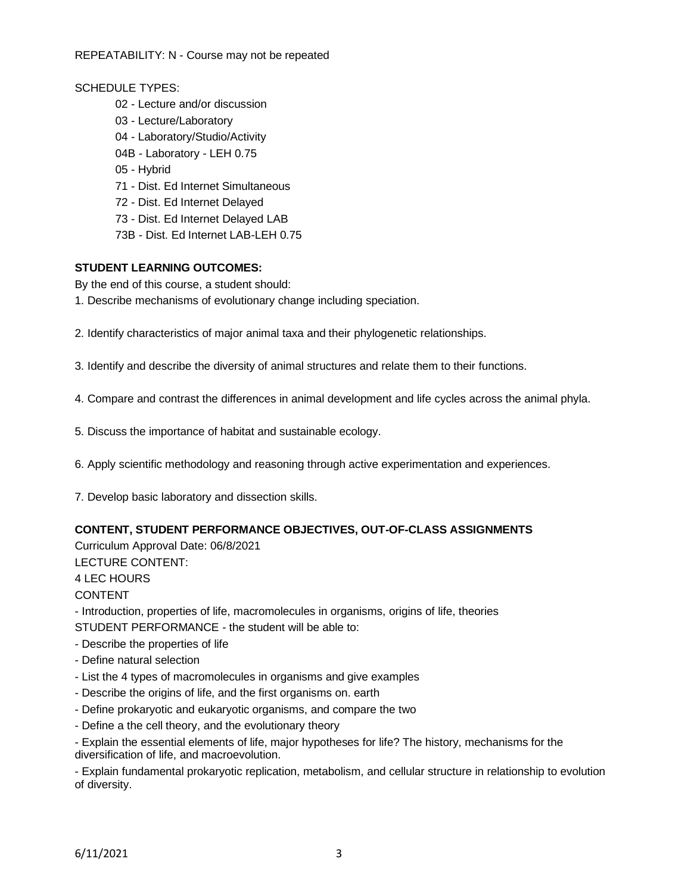REPEATABILITY: N - Course may not be repeated

#### SCHEDULE TYPES:

- 02 Lecture and/or discussion
- 03 Lecture/Laboratory
- 04 Laboratory/Studio/Activity
- 04B Laboratory LEH 0.75
- 05 Hybrid
- 71 Dist. Ed Internet Simultaneous
- 72 Dist. Ed Internet Delayed
- 73 Dist. Ed Internet Delayed LAB
- 73B Dist. Ed Internet LAB-LEH 0.75

#### **STUDENT LEARNING OUTCOMES:**

By the end of this course, a student should:

- 1. Describe mechanisms of evolutionary change including speciation.
- 2. Identify characteristics of major animal taxa and their phylogenetic relationships.

3. Identify and describe the diversity of animal structures and relate them to their functions.

- 4. Compare and contrast the differences in animal development and life cycles across the animal phyla.
- 5. Discuss the importance of habitat and sustainable ecology.
- 6. Apply scientific methodology and reasoning through active experimentation and experiences.
- 7. Develop basic laboratory and dissection skills.

#### **CONTENT, STUDENT PERFORMANCE OBJECTIVES, OUT-OF-CLASS ASSIGNMENTS**

Curriculum Approval Date: 06/8/2021

LECTURE CONTENT:

4 LEC HOURS

CONTENT

- Introduction, properties of life, macromolecules in organisms, origins of life, theories

STUDENT PERFORMANCE - the student will be able to:

- Describe the properties of life
- Define natural selection
- List the 4 types of macromolecules in organisms and give examples
- Describe the origins of life, and the first organisms on. earth
- Define prokaryotic and eukaryotic organisms, and compare the two
- Define a the cell theory, and the evolutionary theory
- Explain the essential elements of life, major hypotheses for life? The history, mechanisms for the diversification of life, and macroevolution.

- Explain fundamental prokaryotic replication, metabolism, and cellular structure in relationship to evolution of diversity.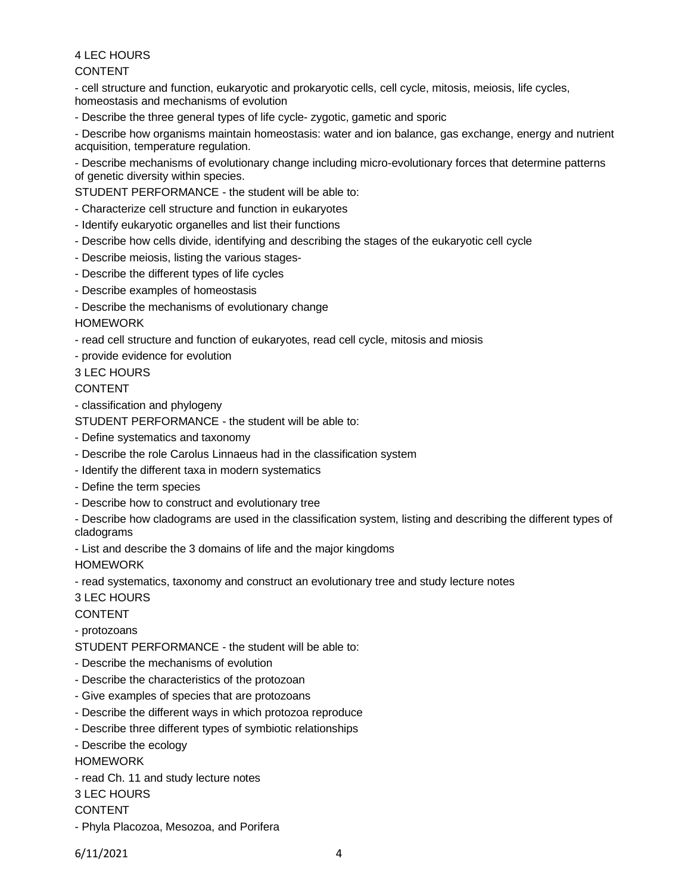4 LEC HOURS CONTENT

- cell structure and function, eukaryotic and prokaryotic cells, cell cycle, mitosis, meiosis, life cycles, homeostasis and mechanisms of evolution

- Describe the three general types of life cycle- zygotic, gametic and sporic

- Describe how organisms maintain homeostasis: water and ion balance, gas exchange, energy and nutrient acquisition, temperature regulation.

- Describe mechanisms of evolutionary change including micro-evolutionary forces that determine patterns of genetic diversity within species.

STUDENT PERFORMANCE - the student will be able to:

- Characterize cell structure and function in eukaryotes
- Identify eukaryotic organelles and list their functions
- Describe how cells divide, identifying and describing the stages of the eukaryotic cell cycle
- Describe meiosis, listing the various stages-
- Describe the different types of life cycles
- Describe examples of homeostasis
- Describe the mechanisms of evolutionary change

HOMEWORK

- read cell structure and function of eukaryotes, read cell cycle, mitosis and miosis

- provide evidence for evolution

3 LEC HOURS

CONTENT

- classification and phylogeny

STUDENT PERFORMANCE - the student will be able to:

- Define systematics and taxonomy
- Describe the role Carolus Linnaeus had in the classification system
- Identify the different taxa in modern systematics
- Define the term species
- Describe how to construct and evolutionary tree

- Describe how cladograms are used in the classification system, listing and describing the different types of cladograms

- List and describe the 3 domains of life and the major kingdoms

HOMEWORK

- read systematics, taxonomy and construct an evolutionary tree and study lecture notes

#### 3 LEC HOURS

CONTENT

- protozoans

- STUDENT PERFORMANCE the student will be able to:
- Describe the mechanisms of evolution
- Describe the characteristics of the protozoan
- Give examples of species that are protozoans
- Describe the different ways in which protozoa reproduce
- Describe three different types of symbiotic relationships
- Describe the ecology

HOMEWORK

- read Ch. 11 and study lecture notes
- 3 LEC HOURS

CONTENT

- Phyla Placozoa, Mesozoa, and Porifera

6/11/2021 4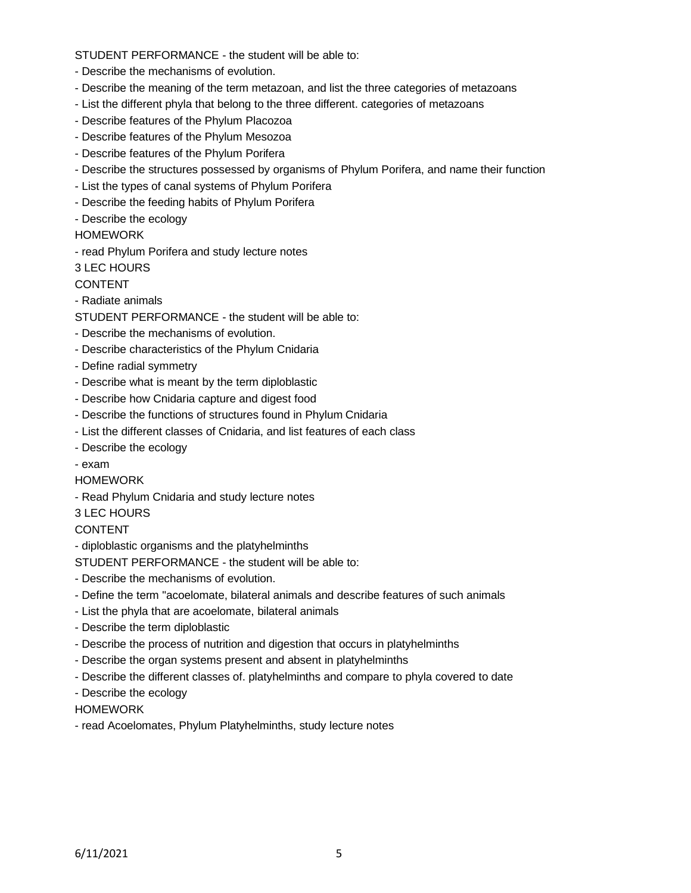STUDENT PERFORMANCE - the student will be able to:

- Describe the mechanisms of evolution.
- Describe the meaning of the term metazoan, and list the three categories of metazoans
- List the different phyla that belong to the three different. categories of metazoans
- Describe features of the Phylum Placozoa
- Describe features of the Phylum Mesozoa
- Describe features of the Phylum Porifera
- Describe the structures possessed by organisms of Phylum Porifera, and name their function
- List the types of canal systems of Phylum Porifera
- Describe the feeding habits of Phylum Porifera
- Describe the ecology

#### HOMEWORK

- read Phylum Porifera and study lecture notes

3 LEC HOURS

#### CONTENT

- Radiate animals
- STUDENT PERFORMANCE the student will be able to:
- Describe the mechanisms of evolution.
- Describe characteristics of the Phylum Cnidaria
- Define radial symmetry
- Describe what is meant by the term diploblastic
- Describe how Cnidaria capture and digest food
- Describe the functions of structures found in Phylum Cnidaria
- List the different classes of Cnidaria, and list features of each class
- Describe the ecology
- exam
- HOMEWORK
- Read Phylum Cnidaria and study lecture notes
- 3 LEC HOURS

#### CONTENT

- diploblastic organisms and the platyhelminths

STUDENT PERFORMANCE - the student will be able to:

- Describe the mechanisms of evolution.
- Define the term "acoelomate, bilateral animals and describe features of such animals
- List the phyla that are acoelomate, bilateral animals
- Describe the term diploblastic
- Describe the process of nutrition and digestion that occurs in platyhelminths
- Describe the organ systems present and absent in platyhelminths
- Describe the different classes of. platyhelminths and compare to phyla covered to date
- Describe the ecology

HOMEWORK

- read Acoelomates, Phylum Platyhelminths, study lecture notes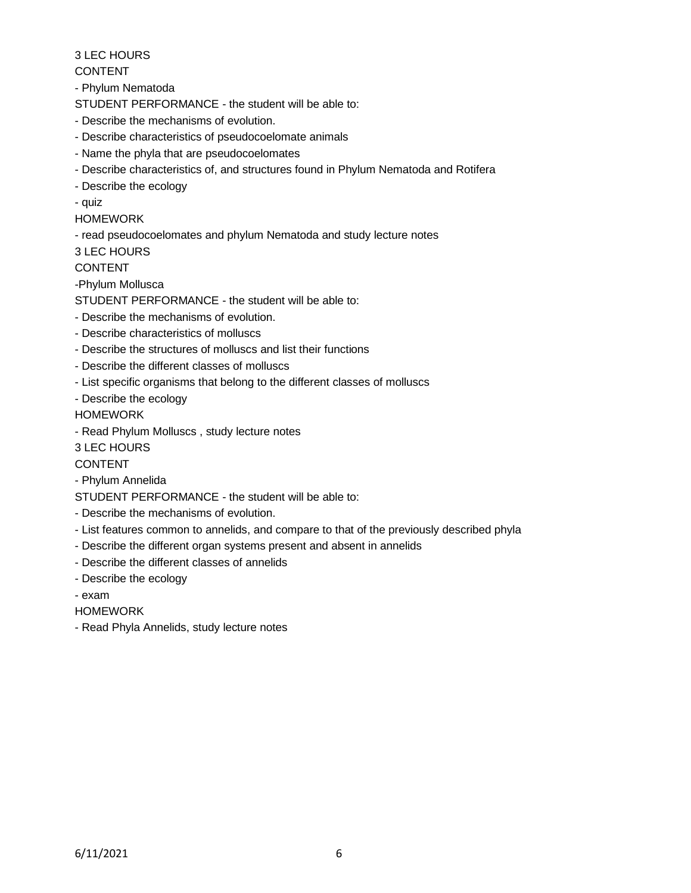3 LEC HOURS

# CONTENT

- Phylum Nematoda

STUDENT PERFORMANCE - the student will be able to:

- Describe the mechanisms of evolution.
- Describe characteristics of pseudocoelomate animals
- Name the phyla that are pseudocoelomates
- Describe characteristics of, and structures found in Phylum Nematoda and Rotifera
- Describe the ecology
- quiz
- HOMEWORK
- read pseudocoelomates and phylum Nematoda and study lecture notes

3 LEC HOURS

CONTENT

-Phylum Mollusca

STUDENT PERFORMANCE - the student will be able to:

- Describe the mechanisms of evolution.
- Describe characteristics of molluscs
- Describe the structures of molluscs and list their functions
- Describe the different classes of molluscs
- List specific organisms that belong to the different classes of molluscs
- Describe the ecology

HOMEWORK

- Read Phylum Molluscs , study lecture notes

3 LEC HOURS

CONTENT

- Phylum Annelida
- STUDENT PERFORMANCE the student will be able to:
- Describe the mechanisms of evolution.
- List features common to annelids, and compare to that of the previously described phyla
- Describe the different organ systems present and absent in annelids
- Describe the different classes of annelids
- Describe the ecology
- exam
- HOMEWORK
- Read Phyla Annelids, study lecture notes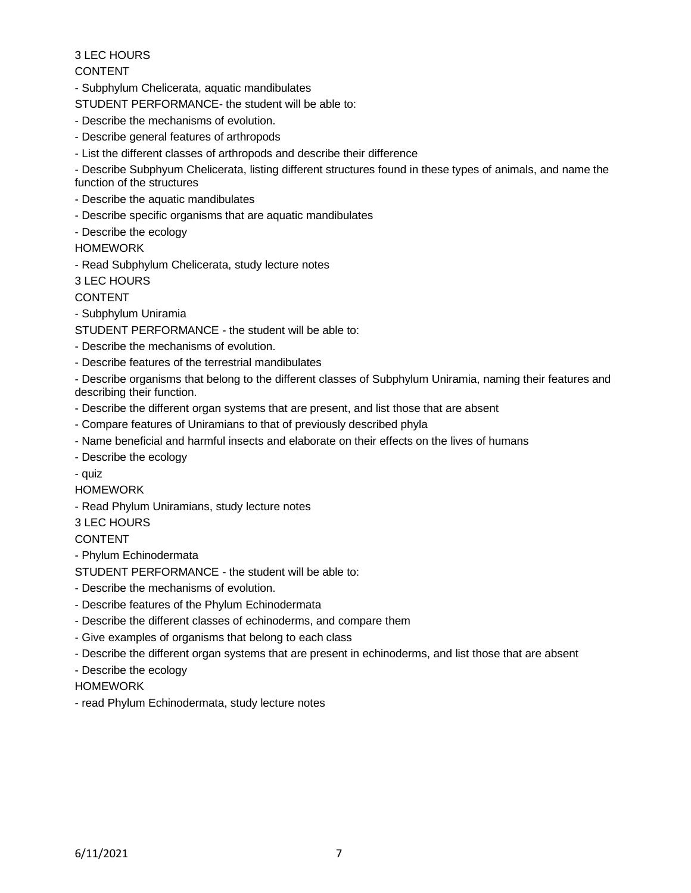# 3 LEC HOURS

# CONTENT

- Subphylum Chelicerata, aquatic mandibulates

STUDENT PERFORMANCE- the student will be able to:

- Describe the mechanisms of evolution.
- Describe general features of arthropods
- List the different classes of arthropods and describe their difference

- Describe Subphyum Chelicerata, listing different structures found in these types of animals, and name the function of the structures

- Describe the aquatic mandibulates
- Describe specific organisms that are aquatic mandibulates
- Describe the ecology

HOMEWORK

- Read Subphylum Chelicerata, study lecture notes

3 LEC HOURS

CONTENT

- Subphylum Uniramia
- STUDENT PERFORMANCE the student will be able to:
- Describe the mechanisms of evolution.
- Describe features of the terrestrial mandibulates

- Describe organisms that belong to the different classes of Subphylum Uniramia, naming their features and describing their function.

- Describe the different organ systems that are present, and list those that are absent
- Compare features of Uniramians to that of previously described phyla
- Name beneficial and harmful insects and elaborate on their effects on the lives of humans
- Describe the ecology
- quiz

HOMEWORK

- Read Phylum Uniramians, study lecture notes

3 LEC HOURS

# CONTENT

- Phylum Echinodermata
- STUDENT PERFORMANCE the student will be able to:
- Describe the mechanisms of evolution.
- Describe features of the Phylum Echinodermata
- Describe the different classes of echinoderms, and compare them
- Give examples of organisms that belong to each class
- Describe the different organ systems that are present in echinoderms, and list those that are absent
- Describe the ecology
- HOMEWORK
- read Phylum Echinodermata, study lecture notes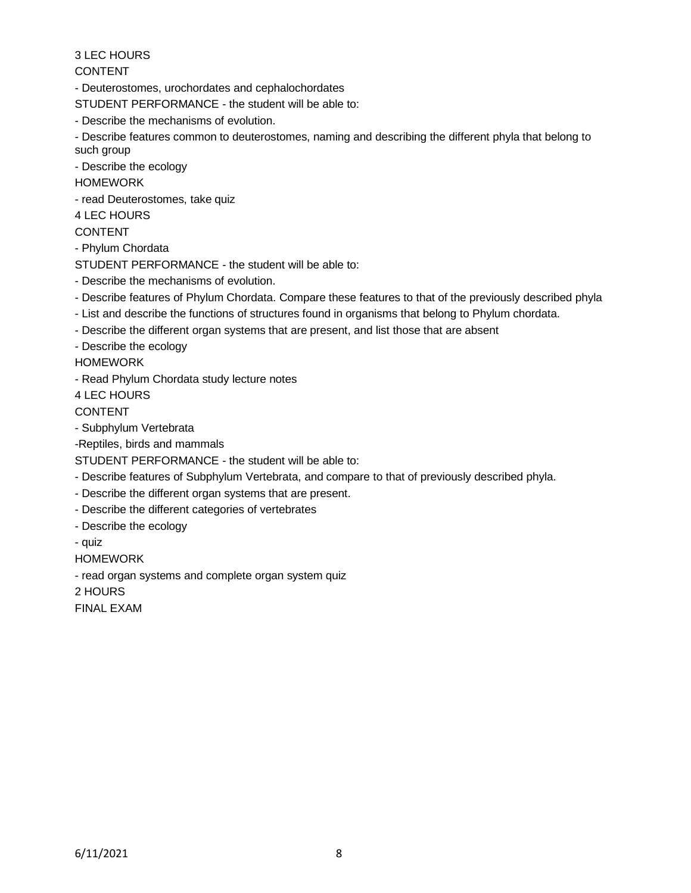3 LEC HOURS

CONTENT

- Deuterostomes, urochordates and cephalochordates

STUDENT PERFORMANCE - the student will be able to:

- Describe the mechanisms of evolution.

- Describe features common to deuterostomes, naming and describing the different phyla that belong to such group

- Describe the ecology

**HOMEWORK** 

- read Deuterostomes, take quiz

4 LEC HOURS

### CONTENT

- Phylum Chordata

STUDENT PERFORMANCE - the student will be able to:

- Describe the mechanisms of evolution.
- Describe features of Phylum Chordata. Compare these features to that of the previously described phyla
- List and describe the functions of structures found in organisms that belong to Phylum chordata.
- Describe the different organ systems that are present, and list those that are absent

- Describe the ecology

HOMEWORK

- Read Phylum Chordata study lecture notes

4 LEC HOURS

CONTENT

- Subphylum Vertebrata

-Reptiles, birds and mammals

STUDENT PERFORMANCE - the student will be able to:

- Describe features of Subphylum Vertebrata, and compare to that of previously described phyla.
- Describe the different organ systems that are present.
- Describe the different categories of vertebrates
- Describe the ecology
- quiz

HOMEWORK

- read organ systems and complete organ system quiz

2 HOURS

FINAL EXAM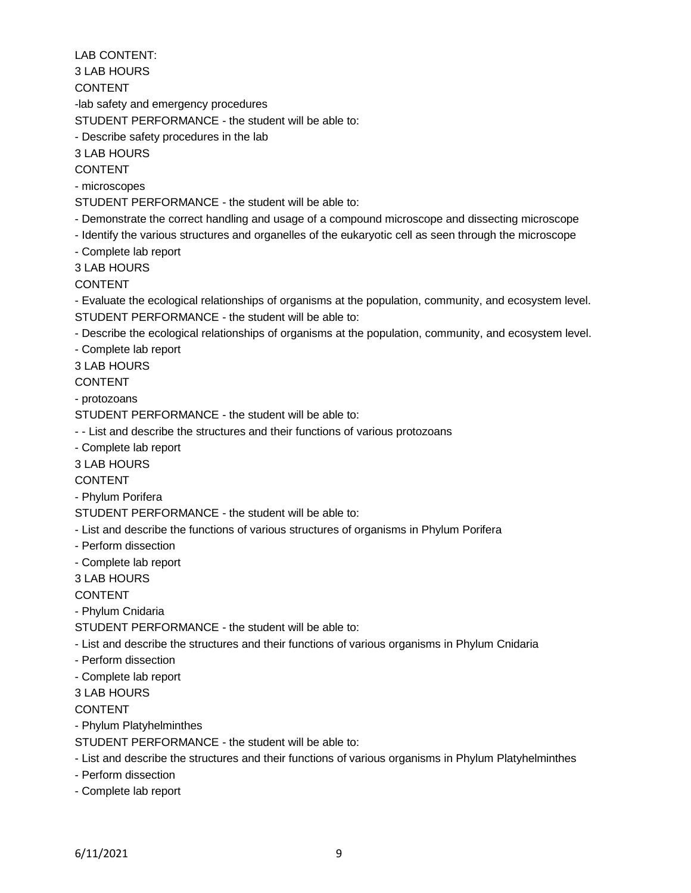LAB CONTENT:

3 LAB HOURS

CONTENT

-lab safety and emergency procedures

STUDENT PERFORMANCE - the student will be able to:

- Describe safety procedures in the lab

3 LAB HOURS

CONTENT

- microscopes

STUDENT PERFORMANCE - the student will be able to:

- Demonstrate the correct handling and usage of a compound microscope and dissecting microscope

- Identify the various structures and organelles of the eukaryotic cell as seen through the microscope

- Complete lab report

3 LAB HOURS

CONTENT

- Evaluate the ecological relationships of organisms at the population, community, and ecosystem level. STUDENT PERFORMANCE - the student will be able to:

- Describe the ecological relationships of organisms at the population, community, and ecosystem level.

- Complete lab report

3 LAB HOURS

CONTENT

- protozoans

STUDENT PERFORMANCE - the student will be able to:

- - List and describe the structures and their functions of various protozoans

- Complete lab report

3 LAB HOURS

CONTENT

- Phylum Porifera

STUDENT PERFORMANCE - the student will be able to:

- List and describe the functions of various structures of organisms in Phylum Porifera

- Perform dissection
- Complete lab report

3 LAB HOURS

CONTENT

- Phylum Cnidaria

STUDENT PERFORMANCE - the student will be able to:

- List and describe the structures and their functions of various organisms in Phylum Cnidaria

- Perform dissection
- Complete lab report

3 LAB HOURS

CONTENT

- Phylum Platyhelminthes

STUDENT PERFORMANCE - the student will be able to:

- List and describe the structures and their functions of various organisms in Phylum Platyhelminthes

- Perform dissection

- Complete lab report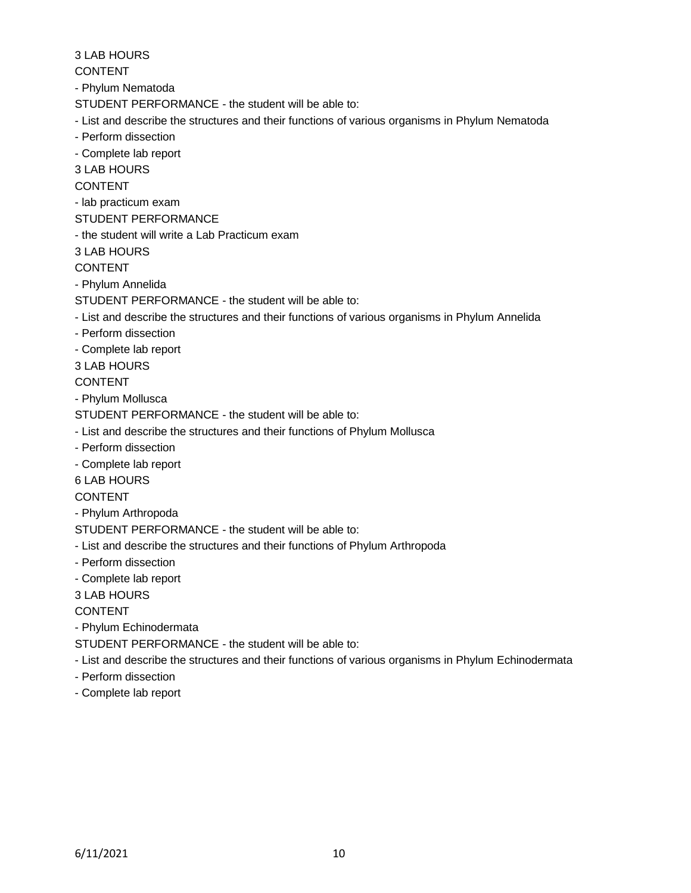3 LAB HOURS

CONTENT

- Phylum Nematoda

STUDENT PERFORMANCE - the student will be able to:

- List and describe the structures and their functions of various organisms in Phylum Nematoda
- Perform dissection

- Complete lab report

3 LAB HOURS

CONTENT

- lab practicum exam

STUDENT PERFORMANCE

- the student will write a Lab Practicum exam

3 LAB HOURS

CONTENT

- Phylum Annelida

STUDENT PERFORMANCE - the student will be able to:

- List and describe the structures and their functions of various organisms in Phylum Annelida
- Perform dissection
- Complete lab report

3 LAB HOURS

CONTENT

- Phylum Mollusca

STUDENT PERFORMANCE - the student will be able to:

- List and describe the structures and their functions of Phylum Mollusca
- Perform dissection
- Complete lab report

6 LAB HOURS

CONTENT

- Phylum Arthropoda

STUDENT PERFORMANCE - the student will be able to:

- List and describe the structures and their functions of Phylum Arthropoda
- Perform dissection
- Complete lab report

3 LAB HOURS

CONTENT

- Phylum Echinodermata

STUDENT PERFORMANCE - the student will be able to:

- List and describe the structures and their functions of various organisms in Phylum Echinodermata
- Perform dissection
- Complete lab report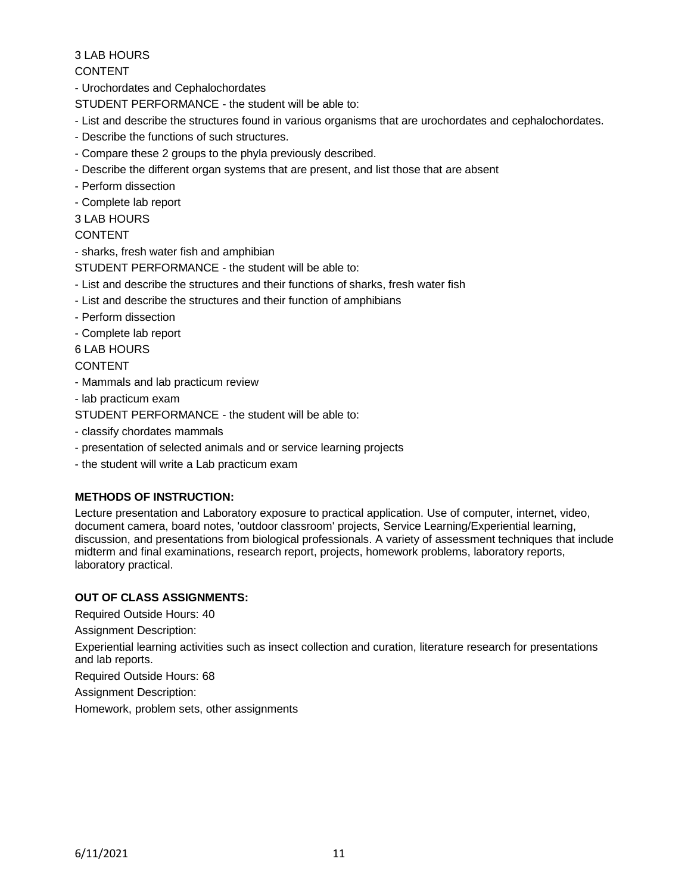# 3 LAB HOURS

CONTENT

- Urochordates and Cephalochordates

STUDENT PERFORMANCE - the student will be able to:

- List and describe the structures found in various organisms that are urochordates and cephalochordates.
- Describe the functions of such structures.
- Compare these 2 groups to the phyla previously described.
- Describe the different organ systems that are present, and list those that are absent
- Perform dissection
- Complete lab report
- 3 LAB HOURS

### CONTENT

- sharks, fresh water fish and amphibian

STUDENT PERFORMANCE - the student will be able to:

- List and describe the structures and their functions of sharks, fresh water fish
- List and describe the structures and their function of amphibians
- Perform dissection
- Complete lab report
- 6 LAB HOURS

# CONTENT

- Mammals and lab practicum review
- lab practicum exam

STUDENT PERFORMANCE - the student will be able to:

- classify chordates mammals
- presentation of selected animals and or service learning projects
- the student will write a Lab practicum exam

# **METHODS OF INSTRUCTION:**

Lecture presentation and Laboratory exposure to practical application. Use of computer, internet, video, document camera, board notes, 'outdoor classroom' projects, Service Learning/Experiential learning, discussion, and presentations from biological professionals. A variety of assessment techniques that include midterm and final examinations, research report, projects, homework problems, laboratory reports, laboratory practical.

# **OUT OF CLASS ASSIGNMENTS:**

Required Outside Hours: 40

Assignment Description:

Experiential learning activities such as insect collection and curation, literature research for presentations and lab reports.

Required Outside Hours: 68

Assignment Description:

Homework, problem sets, other assignments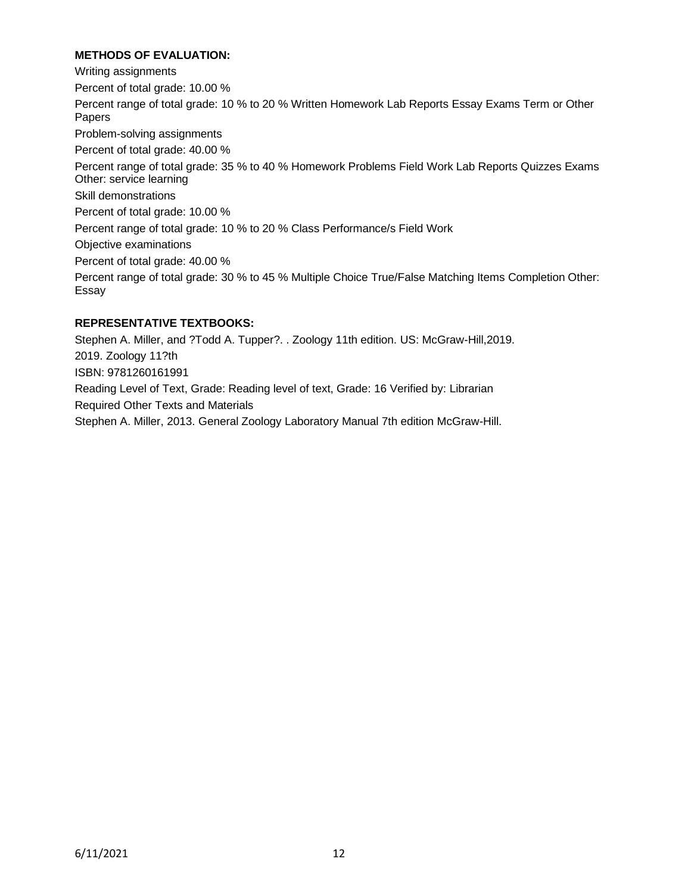### **METHODS OF EVALUATION:**

Writing assignments Percent of total grade: 10.00 % Percent range of total grade: 10 % to 20 % Written Homework Lab Reports Essay Exams Term or Other Papers Problem-solving assignments Percent of total grade: 40.00 % Percent range of total grade: 35 % to 40 % Homework Problems Field Work Lab Reports Quizzes Exams Other: service learning Skill demonstrations Percent of total grade: 10.00 % Percent range of total grade: 10 % to 20 % Class Performance/s Field Work Objective examinations Percent of total grade: 40.00 % Percent range of total grade: 30 % to 45 % Multiple Choice True/False Matching Items Completion Other: Essay

# **REPRESENTATIVE TEXTBOOKS:**

Stephen A. Miller, and ?Todd A. Tupper?. . Zoology 11th edition. US: McGraw-Hill,2019. 2019. Zoology 11?th ISBN: 9781260161991 Reading Level of Text, Grade: Reading level of text, Grade: 16 Verified by: Librarian Required Other Texts and Materials Stephen A. Miller, 2013. General Zoology Laboratory Manual 7th edition McGraw-Hill.